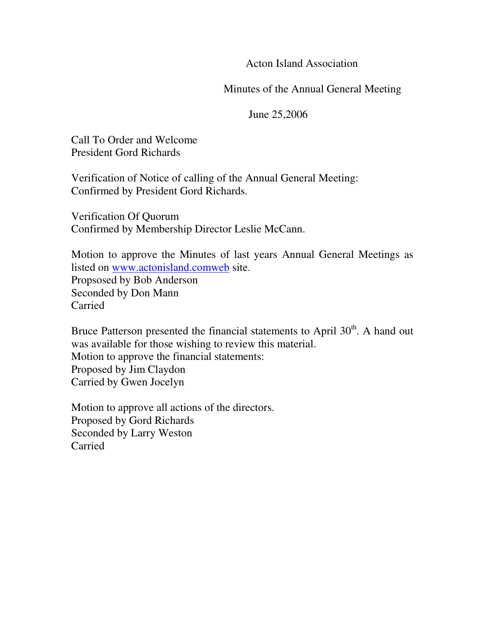Acton Island Association

Minutes of the Annual General Meeting

June 25,2006

Call To Order and Welcome President Gord Richards

Verification of Notice of calling of the Annual General Meeting: Confirmed by President Gord Richards.

Verification Of Quorum Confirmed by Membership Director Leslie McCann.

Motion to approve the Minutes of last years Annual General Meetings as listed on www.actonisland.comweb site.

Propsosed by Bob Anderson Seconded by Don Mann Carried

Bruce Patterson presented the financial statements to April 30<sup>th</sup>. A hand out was available for those wishing to review this material. Motion to approve the financial statements: Proposed by Jim Claydon Carried by Gwen Jocelyn

Motion to approve all actions of the directors. Proposed by Gord Richards Seconded by Larry Weston Carried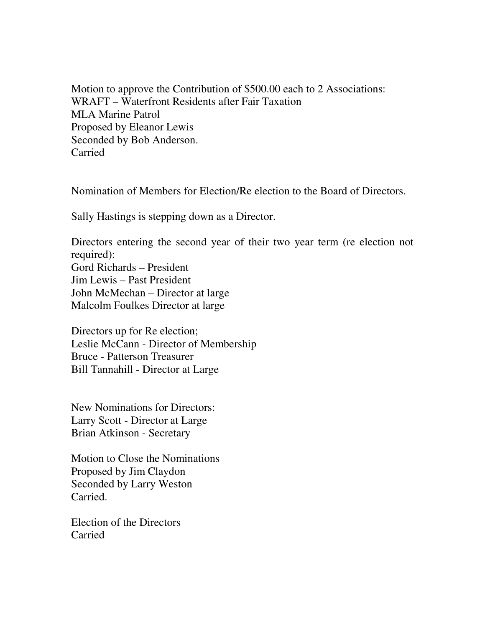Motion to approve the Contribution of \$500.00 each to 2 Associations: WRAFT – Waterfront Residents after Fair Taxation MLA Marine Patrol Proposed by Eleanor Lewis Seconded by Bob Anderson. Carried

Nomination of Members for Election/Re election to the Board of Directors.

Sally Hastings is stepping down as a Director.

Directors entering the second year of their two year term (re election not required): Gord Richards – President Jim Lewis – Past President John McMechan – Director at large Malcolm Foulkes Director at large

Directors up for Re election; Leslie McCann - Director of Membership Bruce - Patterson Treasurer Bill Tannahill - Director at Large

New Nominations for Directors: Larry Scott - Director at Large Brian Atkinson - Secretary

Motion to Close the Nominations Proposed by Jim Claydon Seconded by Larry Weston Carried.

Election of the Directors Carried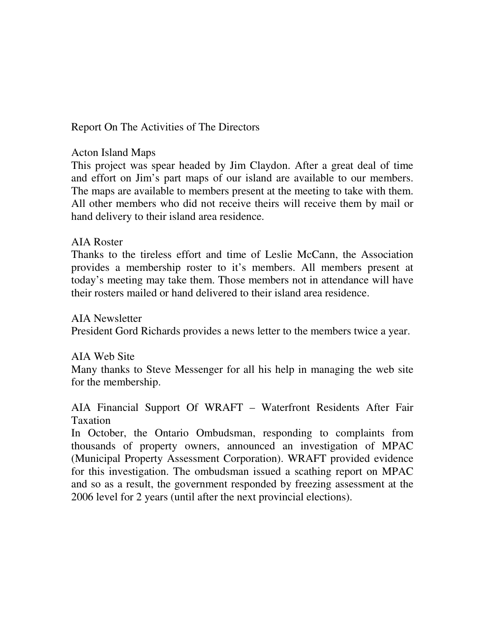Report On The Activities of The Directors

## Acton Island Maps

This project was spear headed by Jim Claydon. After a great deal of time and effort on Jim's part maps of our island are available to our members. The maps are available to members present at the meeting to take with them. All other members who did not receive theirs will receive them by mail or hand delivery to their island area residence.

## AIA Roster

Thanks to the tireless effort and time of Leslie McCann, the Association provides a membership roster to it's members. All members present at today's meeting may take them. Those members not in attendance will have their rosters mailed or hand delivered to their island area residence.

AIA Newsletter President Gord Richards provides a news letter to the members twice a year.

## AIA Web Site

Many thanks to Steve Messenger for all his help in managing the web site for the membership.

AIA Financial Support Of WRAFT – Waterfront Residents After Fair Taxation

In October, the Ontario Ombudsman, responding to complaints from thousands of property owners, announced an investigation of MPAC (Municipal Property Assessment Corporation). WRAFT provided evidence for this investigation. The ombudsman issued a scathing report on MPAC and so as a result, the government responded by freezing assessment at the 2006 level for 2 years (until after the next provincial elections).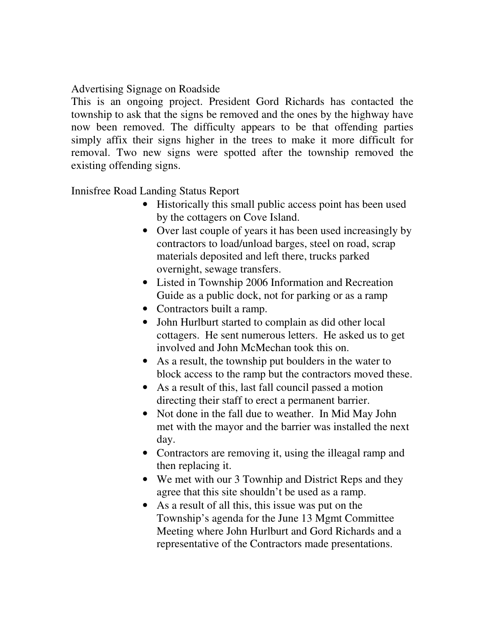# Advertising Signage on Roadside

This is an ongoing project. President Gord Richards has contacted the township to ask that the signs be removed and the ones by the highway have now been removed. The difficulty appears to be that offending parties simply affix their signs higher in the trees to make it more difficult for removal. Two new signs were spotted after the township removed the existing offending signs.

Innisfree Road Landing Status Report

- Historically this small public access point has been used by the cottagers on Cove Island.
- Over last couple of years it has been used increasingly by contractors to load/unload barges, steel on road, scrap materials deposited and left there, trucks parked overnight, sewage transfers.
- Listed in Township 2006 Information and Recreation Guide as a public dock, not for parking or as a ramp
- Contractors built a ramp.
- John Hurlburt started to complain as did other local cottagers. He sent numerous letters. He asked us to get involved and John McMechan took this on.
- As a result, the township put boulders in the water to block access to the ramp but the contractors moved these.
- As a result of this, last fall council passed a motion directing their staff to erect a permanent barrier.
- Not done in the fall due to weather. In Mid May John met with the mayor and the barrier was installed the next day.
- Contractors are removing it, using the illeagal ramp and then replacing it.
- We met with our 3 Townhip and District Reps and they agree that this site shouldn't be used as a ramp.
- As a result of all this, this issue was put on the Township's agenda for the June 13 Mgmt Committee Meeting where John Hurlburt and Gord Richards and a representative of the Contractors made presentations.